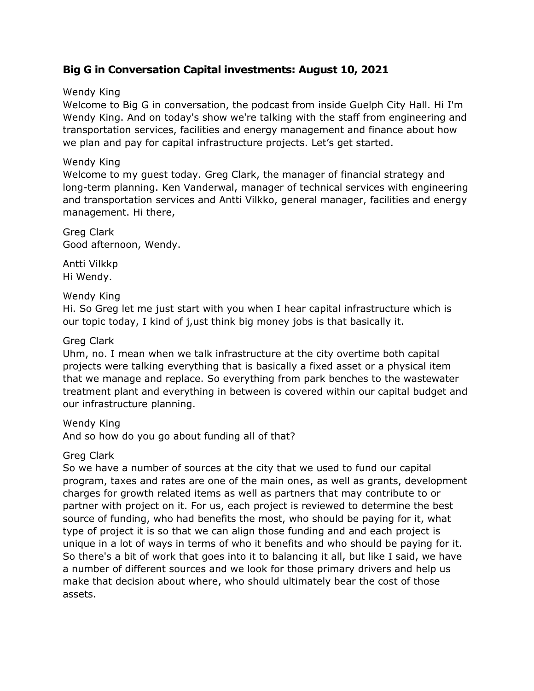# **Big G in Conversation Capital investments: August 10, 2021**

# Wendy King

Welcome to Big G in conversation, the podcast from inside Guelph City Hall. Hi I'm Wendy King. And on today's show we're talking with the staff from engineering and transportation services, facilities and energy management and finance about how we plan and pay for capital infrastructure projects. Let's get started.

# Wendy King

Welcome to my guest today. Greg Clark, the manager of financial strategy and long-term planning. Ken Vanderwal, manager of technical services with engineering and transportation services and Antti Vilkko, general manager, facilities and energy management. Hi there,

Greg Clark Good afternoon, Wendy.

Antti Vilkkp Hi Wendy.

# Wendy King

Hi. So Greg let me just start with you when I hear capital infrastructure which is our topic today, I kind of j,ust think big money jobs is that basically it.

# Greg Clark

Uhm, no. I mean when we talk infrastructure at the city overtime both capital projects were talking everything that is basically a fixed asset or a physical item that we manage and replace. So everything from park benches to the wastewater treatment plant and everything in between is covered within our capital budget and our infrastructure planning.

Wendy King

And so how do you go about funding all of that?

# Greg Clark

So we have a number of sources at the city that we used to fund our capital program, taxes and rates are one of the main ones, as well as grants, development charges for growth related items as well as partners that may contribute to or partner with project on it. For us, each project is reviewed to determine the best source of funding, who had benefits the most, who should be paying for it, what type of project it is so that we can align those funding and and each project is unique in a lot of ways in terms of who it benefits and who should be paying for it. So there's a bit of work that goes into it to balancing it all, but like I said, we have a number of different sources and we look for those primary drivers and help us make that decision about where, who should ultimately bear the cost of those assets.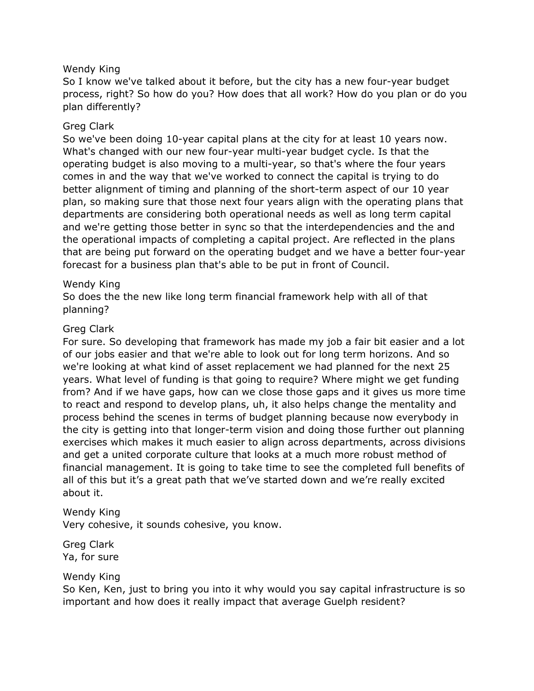### Wendy King

So I know we've talked about it before, but the city has a new four-year budget process, right? So how do you? How does that all work? How do you plan or do you plan differently?

### Greg Clark

So we've been doing 10-year capital plans at the city for at least 10 years now. What's changed with our new four-year multi-year budget cycle. Is that the operating budget is also moving to a multi-year, so that's where the four years comes in and the way that we've worked to connect the capital is trying to do better alignment of timing and planning of the short-term aspect of our 10 year plan, so making sure that those next four years align with the operating plans that departments are considering both operational needs as well as long term capital and we're getting those better in sync so that the interdependencies and the and the operational impacts of completing a capital project. Are reflected in the plans that are being put forward on the operating budget and we have a better four-year forecast for a business plan that's able to be put in front of Council.

### Wendy King

So does the the new like long term financial framework help with all of that planning?

### Greg Clark

For sure. So developing that framework has made my job a fair bit easier and a lot of our jobs easier and that we're able to look out for long term horizons. And so we're looking at what kind of asset replacement we had planned for the next 25 years. What level of funding is that going to require? Where might we get funding from? And if we have gaps, how can we close those gaps and it gives us more time to react and respond to develop plans, uh, it also helps change the mentality and process behind the scenes in terms of budget planning because now everybody in the city is getting into that longer-term vision and doing those further out planning exercises which makes it much easier to align across departments, across divisions and get a united corporate culture that looks at a much more robust method of financial management. It is going to take time to see the completed full benefits of all of this but it's a great path that we've started down and we're really excited about it.

#### Wendy King

Very cohesive, it sounds cohesive, you know.

Greg Clark Ya, for sure

#### Wendy King

So Ken, Ken, just to bring you into it why would you say capital infrastructure is so important and how does it really impact that average Guelph resident?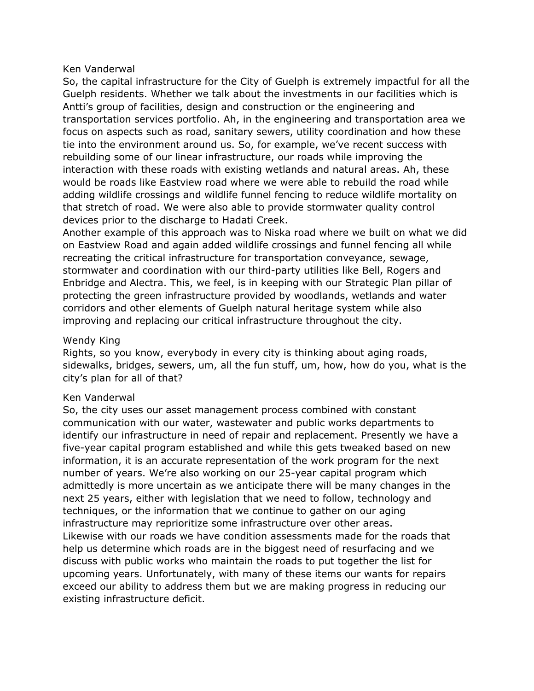#### Ken Vanderwal

So, the capital infrastructure for the City of Guelph is extremely impactful for all the Guelph residents. Whether we talk about the investments in our facilities which is Antti's group of facilities, design and construction or the engineering and transportation services portfolio. Ah, in the engineering and transportation area we focus on aspects such as road, sanitary sewers, utility coordination and how these tie into the environment around us. So, for example, we've recent success with rebuilding some of our linear infrastructure, our roads while improving the interaction with these roads with existing wetlands and natural areas. Ah, these would be roads like Eastview road where we were able to rebuild the road while adding wildlife crossings and wildlife funnel fencing to reduce wildlife mortality on that stretch of road. We were also able to provide stormwater quality control devices prior to the discharge to Hadati Creek.

Another example of this approach was to Niska road where we built on what we did on Eastview Road and again added wildlife crossings and funnel fencing all while recreating the critical infrastructure for transportation conveyance, sewage, stormwater and coordination with our third-party utilities like Bell, Rogers and Enbridge and Alectra. This, we feel, is in keeping with our Strategic Plan pillar of protecting the green infrastructure provided by woodlands, wetlands and water corridors and other elements of Guelph natural heritage system while also improving and replacing our critical infrastructure throughout the city.

# Wendy King

Rights, so you know, everybody in every city is thinking about aging roads, sidewalks, bridges, sewers, um, all the fun stuff, um, how, how do you, what is the city's plan for all of that?

# Ken Vanderwal

So, the city uses our asset management process combined with constant communication with our water, wastewater and public works departments to identify our infrastructure in need of repair and replacement. Presently we have a five-year capital program established and while this gets tweaked based on new information, it is an accurate representation of the work program for the next number of years. We're also working on our 25-year capital program which admittedly is more uncertain as we anticipate there will be many changes in the next 25 years, either with legislation that we need to follow, technology and techniques, or the information that we continue to gather on our aging infrastructure may reprioritize some infrastructure over other areas. Likewise with our roads we have condition assessments made for the roads that help us determine which roads are in the biggest need of resurfacing and we discuss with public works who maintain the roads to put together the list for upcoming years. Unfortunately, with many of these items our wants for repairs exceed our ability to address them but we are making progress in reducing our existing infrastructure deficit.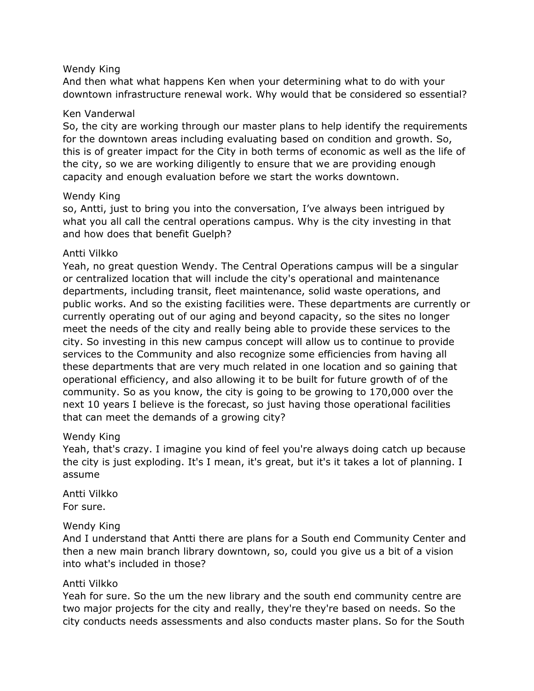### Wendy King

And then what what happens Ken when your determining what to do with your downtown infrastructure renewal work. Why would that be considered so essential?

### Ken Vanderwal

So, the city are working through our master plans to help identify the requirements for the downtown areas including evaluating based on condition and growth. So, this is of greater impact for the City in both terms of economic as well as the life of the city, so we are working diligently to ensure that we are providing enough capacity and enough evaluation before we start the works downtown.

### Wendy King

so, Antti, just to bring you into the conversation, I've always been intrigued by what you all call the central operations campus. Why is the city investing in that and how does that benefit Guelph?

### Antti Vilkko

Yeah, no great question Wendy. The Central Operations campus will be a singular or centralized location that will include the city's operational and maintenance departments, including transit, fleet maintenance, solid waste operations, and public works. And so the existing facilities were. These departments are currently or currently operating out of our aging and beyond capacity, so the sites no longer meet the needs of the city and really being able to provide these services to the city. So investing in this new campus concept will allow us to continue to provide services to the Community and also recognize some efficiencies from having all these departments that are very much related in one location and so gaining that operational efficiency, and also allowing it to be built for future growth of of the community. So as you know, the city is going to be growing to 170,000 over the next 10 years I believe is the forecast, so just having those operational facilities that can meet the demands of a growing city?

#### Wendy King

Yeah, that's crazy. I imagine you kind of feel you're always doing catch up because the city is just exploding. It's I mean, it's great, but it's it takes a lot of planning. I assume

Antti Vilkko For sure.

#### Wendy King

And I understand that Antti there are plans for a South end Community Center and then a new main branch library downtown, so, could you give us a bit of a vision into what's included in those?

#### Antti Vilkko

Yeah for sure. So the um the new library and the south end community centre are two major projects for the city and really, they're they're based on needs. So the city conducts needs assessments and also conducts master plans. So for the South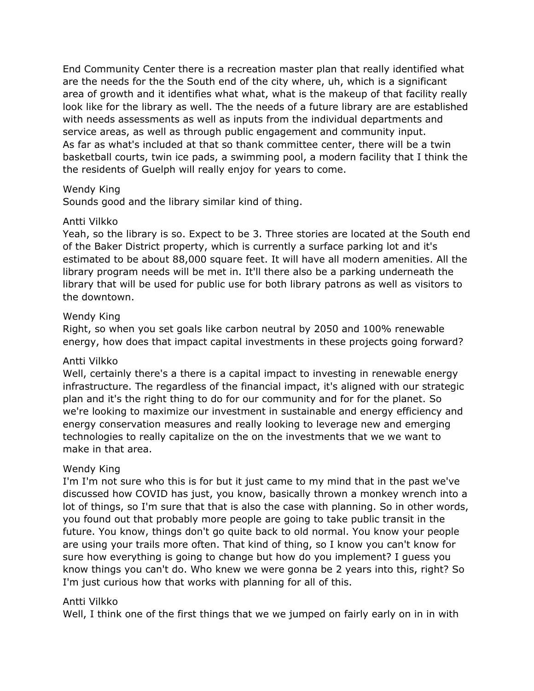End Community Center there is a recreation master plan that really identified what are the needs for the the South end of the city where, uh, which is a significant area of growth and it identifies what what, what is the makeup of that facility really look like for the library as well. The the needs of a future library are are established with needs assessments as well as inputs from the individual departments and service areas, as well as through public engagement and community input. As far as what's included at that so thank committee center, there will be a twin basketball courts, twin ice pads, a swimming pool, a modern facility that I think the the residents of Guelph will really enjoy for years to come.

### Wendy King

Sounds good and the library similar kind of thing.

#### Antti Vilkko

Yeah, so the library is so. Expect to be 3. Three stories are located at the South end of the Baker District property, which is currently a surface parking lot and it's estimated to be about 88,000 square feet. It will have all modern amenities. All the library program needs will be met in. It'll there also be a parking underneath the library that will be used for public use for both library patrons as well as visitors to the downtown.

### Wendy King

Right, so when you set goals like carbon neutral by 2050 and 100% renewable energy, how does that impact capital investments in these projects going forward?

#### Antti Vilkko

Well, certainly there's a there is a capital impact to investing in renewable energy infrastructure. The regardless of the financial impact, it's aligned with our strategic plan and it's the right thing to do for our community and for for the planet. So we're looking to maximize our investment in sustainable and energy efficiency and energy conservation measures and really looking to leverage new and emerging technologies to really capitalize on the on the investments that we we want to make in that area.

#### Wendy King

I'm I'm not sure who this is for but it just came to my mind that in the past we've discussed how COVID has just, you know, basically thrown a monkey wrench into a lot of things, so I'm sure that that is also the case with planning. So in other words, you found out that probably more people are going to take public transit in the future. You know, things don't go quite back to old normal. You know your people are using your trails more often. That kind of thing, so I know you can't know for sure how everything is going to change but how do you implement? I guess you know things you can't do. Who knew we were gonna be 2 years into this, right? So I'm just curious how that works with planning for all of this.

#### Antti Vilkko

Well, I think one of the first things that we we jumped on fairly early on in in with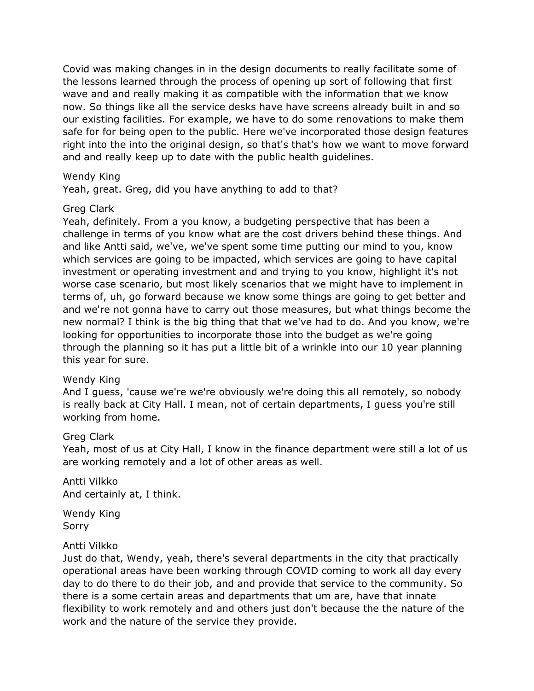Covid was making changes in in the design documents to really facilitate some of the lessons learned through the process of opening up sort of following that first wave and and really making it as compatible with the information that we know now. So things like all the service desks have have screens already built in and so our existing facilities. For example, we have to do some renovations to make them safe for for being open to the public. Here we've incorporated those design features right into the into the original design, so that's that's how we want to move forward and and really keep up to date with the public health guidelines.

#### Wendy King

Yeah, great. Greg, did you have anything to add to that?

### Greg Clark

Yeah, definitely. From a you know, a budgeting perspective that has been a challenge in terms of you know what are the cost drivers behind these things. And and like Antti said, we've, we've spent some time putting our mind to you, know which services are going to be impacted, which services are going to have capital investment or operating investment and and trying to you know, highlight it's not worse case scenario, but most likely scenarios that we might have to implement in terms of, uh, go forward because we know some things are going to get better and and we're not gonna have to carry out those measures, but what things become the new normal? I think is the big thing that that we've had to do. And you know, we're looking for opportunities to incorporate those into the budget as we're going through the planning so it has put a little bit of a wrinkle into our 10 year planning this year for sure.

#### Wendy King

And I guess, 'cause we're we're obviously we're doing this all remotely, so nobody is really back at City Hall. I mean, not of certain departments, I guess you're still working from home.

#### Greg Clark

Yeah, most of us at City Hall, I know in the finance department were still a lot of us are working remotely and a lot of other areas as well.

Antti Vilkko And certainly at, I think.

Wendy King Sorry

# Antti Vilkko

Just do that, Wendy, yeah, there's several departments in the city that practically operational areas have been working through COVID coming to work all day every day to do there to do their job, and and provide that service to the community. So there is a some certain areas and departments that um are, have that innate flexibility to work remotely and and others just don't because the the nature of the work and the nature of the service they provide.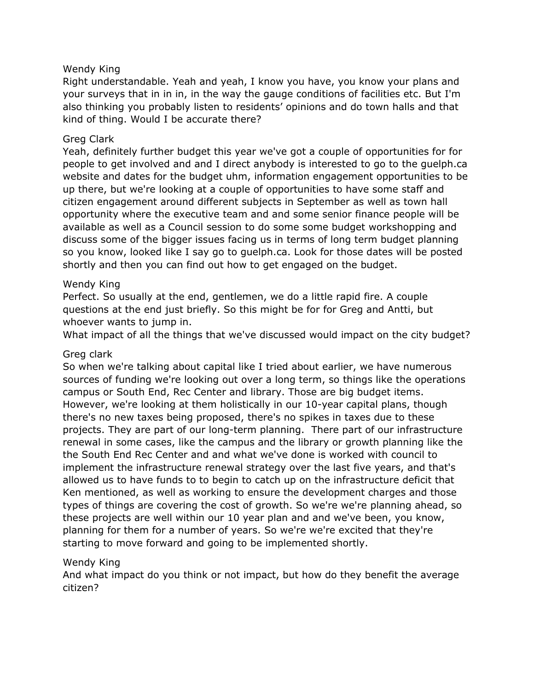# Wendy King

Right understandable. Yeah and yeah, I know you have, you know your plans and your surveys that in in in, in the way the gauge conditions of facilities etc. But I'm also thinking you probably listen to residents' opinions and do town halls and that kind of thing. Would I be accurate there?

### Greg Clark

Yeah, definitely further budget this year we've got a couple of opportunities for for people to get involved and and I direct anybody is interested to go to the guelph.ca website and dates for the budget uhm, information engagement opportunities to be up there, but we're looking at a couple of opportunities to have some staff and citizen engagement around different subjects in September as well as town hall opportunity where the executive team and and some senior finance people will be available as well as a Council session to do some some budget workshopping and discuss some of the bigger issues facing us in terms of long term budget planning so you know, looked like I say go to guelph.ca. Look for those dates will be posted shortly and then you can find out how to get engaged on the budget.

### Wendy King

Perfect. So usually at the end, gentlemen, we do a little rapid fire. A couple questions at the end just briefly. So this might be for for Greg and Antti, but whoever wants to jump in.

What impact of all the things that we've discussed would impact on the city budget?

#### Greg clark

So when we're talking about capital like I tried about earlier, we have numerous sources of funding we're looking out over a long term, so things like the operations campus or South End, Rec Center and library. Those are big budget items. However, we're looking at them holistically in our 10-year capital plans, though there's no new taxes being proposed, there's no spikes in taxes due to these projects. They are part of our long-term planning. There part of our infrastructure renewal in some cases, like the campus and the library or growth planning like the the South End Rec Center and and what we've done is worked with council to implement the infrastructure renewal strategy over the last five years, and that's allowed us to have funds to to begin to catch up on the infrastructure deficit that Ken mentioned, as well as working to ensure the development charges and those types of things are covering the cost of growth. So we're we're planning ahead, so these projects are well within our 10 year plan and and we've been, you know, planning for them for a number of years. So we're we're excited that they're starting to move forward and going to be implemented shortly.

#### Wendy King

And what impact do you think or not impact, but how do they benefit the average citizen?